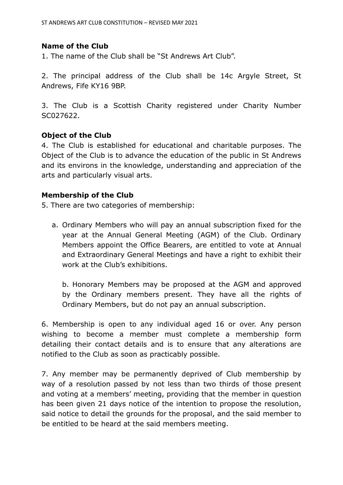## **Name of the Club**

1. The name of the Club shall be "St Andrews Art Club".

2. The principal address of the Club shall be 14c Argyle Street, St Andrews, Fife KY16 9BP.

3. The Club is a Scottish Charity registered under Charity Number SC027622.

## **Object of the Club**

4. The Club is established for educational and charitable purposes. The Object of the Club is to advance the education of the public in St Andrews and its environs in the knowledge, understanding and appreciation of the arts and particularly visual arts.

#### **Membership of the Club**

5. There are two categories of membership:

a. Ordinary Members who will pay an annual subscription fixed for the year at the Annual General Meeting (AGM) of the Club. Ordinary Members appoint the Office Bearers, are entitled to vote at Annual and Extraordinary General Meetings and have a right to exhibit their work at the Club's exhibitions.

b. Honorary Members may be proposed at the AGM and approved by the Ordinary members present. They have all the rights of Ordinary Members, but do not pay an annual subscription.

6. Membership is open to any individual aged 16 or over. Any person wishing to become a member must complete a membership form detailing their contact details and is to ensure that any alterations are notified to the Club as soon as practicably possible.

7. Any member may be permanently deprived of Club membership by way of a resolution passed by not less than two thirds of those present and voting at a members' meeting, providing that the member in question has been given 21 days notice of the intention to propose the resolution, said notice to detail the grounds for the proposal, and the said member to be entitled to be heard at the said members meeting.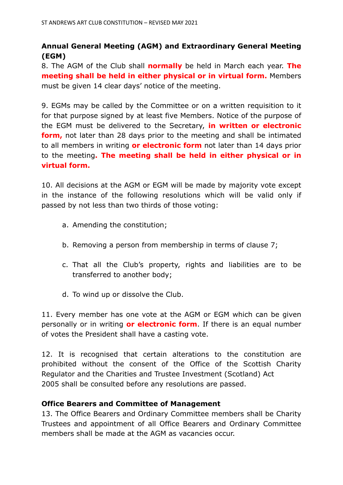# **Annual General Meeting (AGM) and Extraordinary General Meeting (EGM)**

8. The AGM of the Club shall **normally** be held in March each year. **The meeting shall be held in either physical or in virtual form.** Members must be given 14 clear days' notice of the meeting.

9. EGMs may be called by the Committee or on a written requisition to it for that purpose signed by at least five Members. Notice of the purpose of the EGM must be delivered to the Secretary, **in written or electronic form,** not later than 28 days prior to the meeting and shall be intimated to all members in writing **or electronic form** not later than 14 days prior to the meeting**. The meeting shall be held in either physical or in virtual form.**

10. All decisions at the AGM or EGM will be made by majority vote except in the instance of the following resolutions which will be valid only if passed by not less than two thirds of those voting:

- a. Amending the constitution;
- b. Removing a person from membership in terms of clause 7;
- c. That all the Club's property, rights and liabilities are to be transferred to another body;
- d. To wind up or dissolve the Club.

11. Every member has one vote at the AGM or EGM which can be given personally or in writing **or electronic form**. If there is an equal number of votes the President shall have a casting vote.

12. It is recognised that certain alterations to the constitution are prohibited without the consent of the Office of the Scottish Charity Regulator and the Charities and Trustee Investment (Scotland) Act 2005 shall be consulted before any resolutions are passed.

# **Office Bearers and Committee of Management**

13. The Office Bearers and Ordinary Committee members shall be Charity Trustees and appointment of all Office Bearers and Ordinary Committee members shall be made at the AGM as vacancies occur.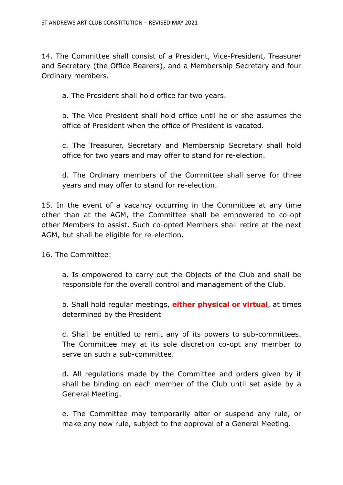14. The Committee shall consist of a President, Vice-President, Treasurer and Secretary (the Office Bearers), and a Membership Secretary and four Ordinary members.

a. The President shall hold office for two years.

b. The Vice President shall hold office until he or she assumes the office of President when the office of President is vacated.

c. The Treasurer, Secretary and Membership Secretary shall hold office for two years and may offer to stand for re-election.

d. The Ordinary members of the Committee shall serve for three years and may offer to stand for re-election.

15. In the event of a vacancy occurring in the Committee at any time other than at the AGM, the Committee shall be empowered to co-opt other Members to assist. Such co-opted Members shall retire at the next AGM, but shall be eligible for re-election.

16. The Committee:

a. Is empowered to carry out the Objects of the Club and shall be responsible for the overall control and management of the Club.

b. Shall hold regular meetings, **either physical or virtual**, at times determined by the President

c. Shall be entitled to remit any of its powers to sub-committees. The Committee may at its sole discretion co-opt any member to serve on such a sub-committee.

d. All regulations made by the Committee and orders given by it shall be binding on each member of the Club until set aside by a General Meeting.

e. The Committee may temporarily alter or suspend any rule, or make any new rule, subject to the approval of a General Meeting.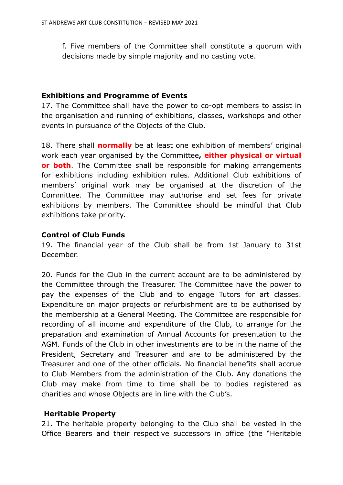f. Five members of the Committee shall constitute a quorum with decisions made by simple majority and no casting vote.

## **Exhibitions and Programme of Events**

17. The Committee shall have the power to co-opt members to assist in the organisation and running of exhibitions, classes, workshops and other events in pursuance of the Objects of the Club.

18. There shall **normally** be at least one exhibition of members' original work each year organised by the Committee**, either physical or virtual or both**. The Committee shall be responsible for making arrangements for exhibitions including exhibition rules. Additional Club exhibitions of members' original work may be organised at the discretion of the Committee. The Committee may authorise and set fees for private exhibitions by members. The Committee should be mindful that Club exhibitions take priority.

## **Control of Club Funds**

19. The financial year of the Club shall be from 1st January to 31st December.

20. Funds for the Club in the current account are to be administered by the Committee through the Treasurer. The Committee have the power to pay the expenses of the Club and to engage Tutors for art classes. Expenditure on major projects or refurbishment are to be authorised by the membership at a General Meeting. The Committee are responsible for recording of all income and expenditure of the Club, to arrange for the preparation and examination of Annual Accounts for presentation to the AGM. Funds of the Club in other investments are to be in the name of the President, Secretary and Treasurer and are to be administered by the Treasurer and one of the other officials. No financial benefits shall accrue to Club Members from the administration of the Club. Any donations the Club may make from time to time shall be to bodies registered as charities and whose Objects are in line with the Club's.

# **Heritable Property**

21. The heritable property belonging to the Club shall be vested in the Office Bearers and their respective successors in office (the "Heritable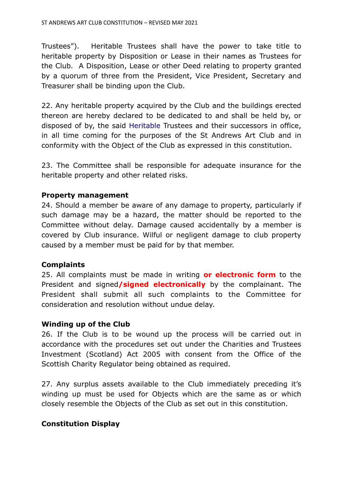Trustees"). Heritable Trustees shall have the power to take title to heritable property by Disposition or Lease in their names as Trustees for the Club. A Disposition, Lease or other Deed relating to property granted by a quorum of three from the President, Vice President, Secretary and Treasurer shall be binding upon the Club.

22. Any heritable property acquired by the Club and the buildings erected thereon are hereby declared to be dedicated to and shall be held by, or disposed of by, the said Heritable Trustees and their successors in office, in all time coming for the purposes of the St Andrews Art Club and in conformity with the Object of the Club as expressed in this constitution.

23. The Committee shall be responsible for adequate insurance for the heritable property and other related risks.

#### **Property management**

24. Should a member be aware of any damage to property, particularly if such damage may be a hazard, the matter should be reported to the Committee without delay. Damage caused accidentally by a member is covered by Club insurance. Wilful or negligent damage to club property caused by a member must be paid for by that member.

#### **Complaints**

25. All complaints must be made in writing **or electronic form** to the President and signed**/signed electronically** by the complainant. The President shall submit all such complaints to the Committee for consideration and resolution without undue delay.

#### **Winding up of the Club**

26. If the Club is to be wound up the process will be carried out in accordance with the procedures set out under the Charities and Trustees Investment (Scotland) Act 2005 with consent from the Office of the Scottish Charity Regulator being obtained as required.

27. Any surplus assets available to the Club immediately preceding it's winding up must be used for Objects which are the same as or which closely resemble the Objects of the Club as set out in this constitution.

# **Constitution Display**